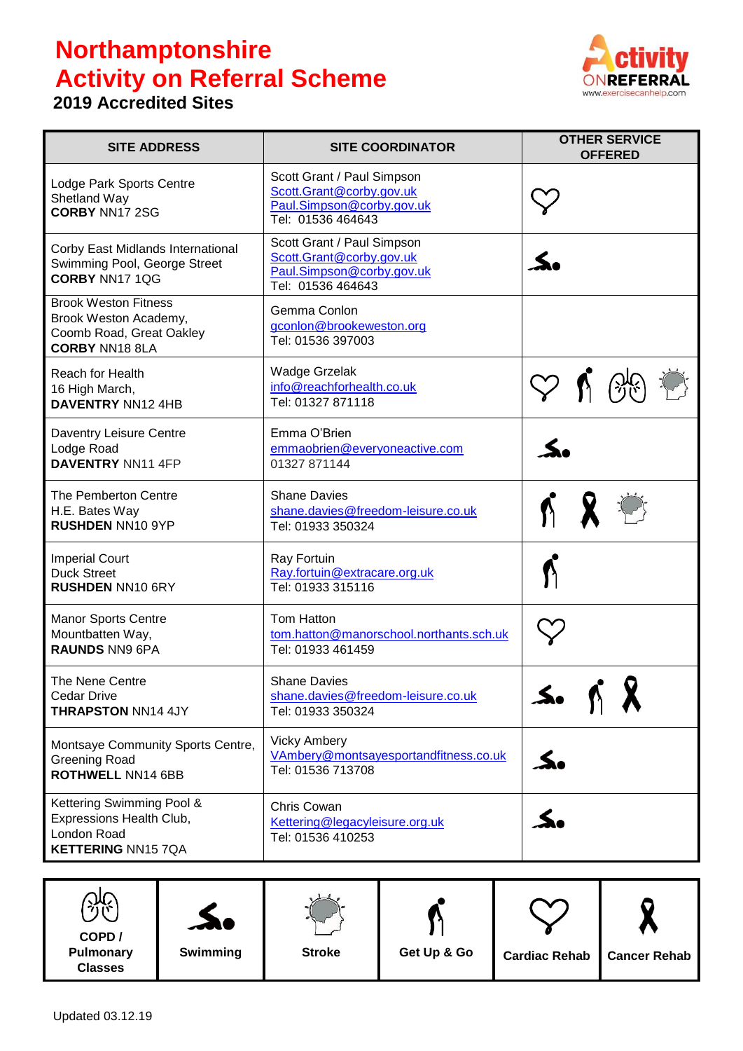## **Northamptonshire Activity on Referral Scheme**

## **2019 Accredited Sites**



| <b>SITE ADDRESS</b>                                                                                       | <b>SITE COORDINATOR</b>                                                                                  | <b>OTHER SERVICE</b><br><b>OFFERED</b> |
|-----------------------------------------------------------------------------------------------------------|----------------------------------------------------------------------------------------------------------|----------------------------------------|
| Lodge Park Sports Centre<br>Shetland Way<br><b>CORBY NN17 2SG</b>                                         | Scott Grant / Paul Simpson<br>Scott.Grant@corby.gov.uk<br>Paul.Simpson@corby.gov.uk<br>Tel: 01536 464643 |                                        |
| Corby East Midlands International<br>Swimming Pool, George Street<br><b>CORBY NN17 1QG</b>                | Scott Grant / Paul Simpson<br>Scott.Grant@corby.gov.uk<br>Paul.Simpson@corby.gov.uk<br>Tel: 01536 464643 |                                        |
| <b>Brook Weston Fitness</b><br>Brook Weston Academy,<br>Coomb Road, Great Oakley<br><b>CORBY NN18 8LA</b> | Gemma Conlon<br>gconlon@brookeweston.org<br>Tel: 01536 397003                                            |                                        |
| <b>Reach for Health</b><br>16 High March,<br><b>DAVENTRY NN12 4HB</b>                                     | <b>Wadge Grzelak</b><br>info@reachforhealth.co.uk<br>Tel: 01327 871118                                   |                                        |
| Daventry Leisure Centre<br>Lodge Road<br><b>DAVENTRY NN11 4FP</b>                                         | Emma O'Brien<br>emmaobrien@everyoneactive.com<br>01327 871144                                            |                                        |
| The Pemberton Centre<br>H.E. Bates Way<br><b>RUSHDEN NN10 9YP</b>                                         | <b>Shane Davies</b><br>shane.davies@freedom-leisure.co.uk<br>Tel: 01933 350324                           |                                        |
| <b>Imperial Court</b><br><b>Duck Street</b><br><b>RUSHDEN NN10 6RY</b>                                    | Ray Fortuin<br>Ray.fortuin@extracare.org.uk<br>Tel: 01933 315116                                         |                                        |
| <b>Manor Sports Centre</b><br>Mountbatten Way,<br><b>RAUNDS NN9 6PA</b>                                   | Tom Hatton<br>tom.hatton@manorschool.northants.sch.uk<br>Tel: 01933 461459                               |                                        |
| The Nene Centre<br><b>Cedar Drive</b><br>THRAPSTON NN14 4JY                                               | <b>Shane Davies</b><br>shane.davies@freedom-leisure.co.uk<br>Tel: 01933 350324                           |                                        |
| Montsaye Community Sports Centre,<br><b>Greening Road</b><br><b>ROTHWELL NN14 6BB</b>                     | <b>Vicky Ambery</b><br>VAmbery@montsayesportandfitness.co.uk<br>Tel: 01536 713708                        | S.                                     |
| Kettering Swimming Pool &<br>Expressions Health Club,<br>London Road<br><b>KETTERING NN15 7QA</b>         | Chris Cowan<br>Kettering@legacyleisure.org.uk<br>Tel: 01536 410253                                       |                                        |